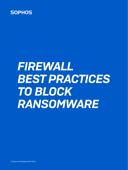

# *FIREWALL BEST PRACTICES TO BLOCK RANSOMWARE*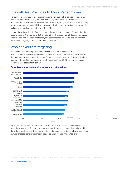# Firewall Best Practices to Block Ransomware

Ransomware continues to plague organizations, with over half of companies surveyed across 26 countries revealing that they were hit by ransomware in the last year\*. Such attacks are ever increasing in complexity and are getting more efficient at exploiting network and system vulnerabilities, leaving organizations with a significant clean-up bill: a global average of an eye-watering US\$761,106.

Modern firewalls are highly effective at defending against these types of attacks, but they need to be given the chance to do their job. In this whitepaper, we will discuss how these attacks work, how they can be stopped, and best practices for configuring your firewall and network to give you the best protection possible.

# Who hackers are targeting

Who are hackers targeting? The short answer: everyone. In a recent survey, 51% of respondents said they had been hit by ransomware in the last year and it seems that organization size is not a significant factor. Forty-seven percent of the organizations had fewer than 1,000 employees while 53% had more than 1,000. No country, region, or vertical market segment is immune.



#### Percentage of organizations hit by ransomware in the last year

In the last year, has your organization been hit by ransomware? Base: 5,000 respondents.

If you search the news for "ransomware attack" you will find several new successful attacks occurring every week. The effects are devastating: huge ransomware demands, significant down-time and business disruption, reputation damage, loss of data, and in an increasing number of cases, sensitive company data is being auctioned off by attackers.

\*The State of Ransomware 2020 - An independent survey of 5,000 IT managers in 26 countries, commissioned by Sophos and conducted by Vanson Bourne.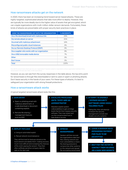### How ransomware attacks get on the network

In 2020, there has been an increasing trend toward server-based attacks. These are highly-targeted, sophisticated attacks that take more effort to deploy. However, they are typically far more deadly due to the higher value of assets that get encrypted, which can cripple organizations with multi-million-dollar ransom demands. Fortunately, these kinds of attacks are preventable with proper security best-practices in place.

| HOW THE RANSOMWARE GOT INTO THE ORGANIZATION   | <b>% INCIDENTS</b> |
|------------------------------------------------|--------------------|
| Via a file download/email with malicious link  | 29%                |
| Via remote attack on server                    | 21%                |
| Via email with malicious attachment            | 16%                |
| Misconfigured public cloud instances           | 9%                 |
| Via our Remote Desktop Protocol (RDP)          | 9%                 |
| Via a supplier who works with our organization | 9%                 |
| Via a USB/removable media device               | 7%                 |
| Other                                          | 0%                 |
| Don't know                                     | 0%                 |
| Total                                          | 1በበ%               |

How did the ransomware attack get into your organization? Question asked to respondents whose organization had been hit by ransomware in the last year. Base: 2,538 respondents.

However, as you can see from the survey responses in the table above, the top entry point for ransomware is through files downloaded or sent to users in spam or phishing attacks. Don't leave security in the hands of your users. For these types of attacks, it's best to safeguard your organization with strong firewall protections.

## How a ransomware attack works

A typical targeted ransomware attack looks like this:

#### *1. GAIN ENTRY*

- a. Spam or phishing email with malicious attachment, or a web download or document containing exploits
- b. Remote file sharing / management features such as RDP

#### *2. ESCALATE PRIVILEGES UNTIL THYEY ARE AN ADMINISTRATOR*

Attackers exploit system vulbnerabilities to gain privilege levels that let them bypass security software. They may restart and run the compromised host in Safe Mode to do this.

#### *3. ATTEMPT TO DISABLE / BYPASS SECURITY SOFTWARE USING HIGHLY TAILORED FILES*

Failing this, they will attempt to breach the security management console and disable security systems.

#### *4. DEPLOY PAYLOAD*

- a. Using an automated exploit
- b. Manual network reconnaissance

They will first look for backups stored on the local network and delete them; making recovery much more difficult and increasing the chances of the victim paying the ransom. They then often exfiltrate sensitive company data for sale on the dark web.

#### *5. SPREAD RANSOMWARE*

Hackers will then encrypt the organizations data and files utilizing network and host vulnerabilities or basic file sharing protocols to compromise other systems on the network and spread file-encrypting ransomware. *6. LEAVE A RANSOM NOTE DEMANDING PAYMENT FOR FILES TO BE DECRYPTED*

*7. WAIT FOR THE VICTIM TO CONTACT THEM VIA EMAIL OR A DARK WEB WEBSITE*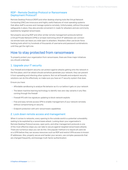## RDP - Remote Desktop Protocol or Ransomware Deployment Protocol?

Remote Desktop Protocol (RDP) and other desktop sharing tools like Virtual Network Computing (VNC) are innocuous and highly useful features of most operating systems that allow staff to access and manage systems remotely. Unfortunately, without the proper safeguards in place, they also provide convenient in-roads for attackers and are commonly exploited by targeted ransomware.

Not properly securing RDP and other similar remote management protocols behind a Virtual Private Network (VPN) or at least restricting which IP addresses can connect via remote tools can leave you wide open to attackers. Attackers often use brute-force hacking tools which try hundreds of thousands of username and password combinations until they get the right one.

# How to stay protected from ransomware

To properly protect your organization from ransomware, there are three major initiatives you should undertake.

# 1. Upgrade your IT security

Your firewall and endpoint security can protect against attacks getting onto the network in the first place, and if an attack should somehow penetrate your network, they can prevent it from spreading and infecting other systems. But not all firewalls and endpoint security solutions can do this effectively, so make sure you have an IT security system that does.

Ensure you have:

- **Affordable sandboxing to analyze file behavior as it's run before it gets on your network**
- ▸ The latest machine learning technology to identify new zero-day variants in any files coming through the firewall
- $\rightarrow$  Firewall IPS with live signature updating to block network exploits
- ▸ Free and easy remote access VPN to enable management of your network remotely without compromising on security
- $\cdot$  Endpoint protection with anti-ransomware capabilities

# 2. Lock down remote access and management

When it comes to networks, every opening to the outside world is a potential vulnerability waiting to be exploited by a ransomware attack. Locking down your organization's Remote Desktop Protocol access, open ports, and other management protocols is one of the most effective steps you can take to secure against targeted ransomware attacks. There are numerous ways you can do this. One popular method is to require all users be on a VPN before they can access resources such as RDP and restrict VPN access to known IP addresses. Also, properly secure and harden your servers, use complex passwords that are changed frequently, and leverage multi-factor authentication.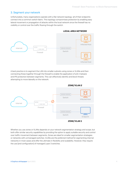## 3. Segment your network

Unfortunately, many organizations operate with a flat network topology: all of their endpoints connect into a common switch fabric. This topology compromises protection by enabling easy lateral movement or propagation of attacks within the local network since the firewall has no visibility or control over the traffic flowing through the switch.



A best practice is to segment the LAN into smaller subnets using zones or VLANs and then connecting these together through the firewall to enable the application of anti-malware and IPS protection between segments. This can effectively identify and block threats attempting to move laterally on the network.



Whether you use zones or VLANs depends on your network segmentation strategy and scope, but both offer similar security capabilities by providing the option to apply suitable security and control over traffic movement between segments. Zones are ideal for smaller segmentation strategies or networks with unmanaged switches. VLANs are the preferred method for segmenting internal networks in most cases and offer the ultimate in flexibility and scalability. However, they require the use (and configuration) of managed Layer 3 switches.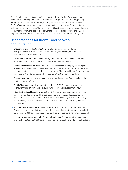While it's a best practice to segment your network, there's no "best" way to segment a network. You can segment your network by user type (internal, contractors, guests), by department (sales, marketing, engineering), by service, device, or role type (VoIP, Wi-Fi, IoT, computers, servers) or any combination that makes sense for your network architecture. But generally, you'll want to segment less trusted and more vulnerable parts of your network from the rest. You'll also want to segment large networks into smaller segments, all with the aim of reducing the risk of threat penetration and propagation.

# Best practices for firewall and network configuration

- $\rightarrow$  Ensure you have the best protection, including a modern high-performance next-gen firewall with IPS, TLS Inspection, zero-day sandboxing, and machine learning ransomware protection.
- **Lock down RDP and other services** with your firewall. Your firewall should be able to restrict access to VPN users and whitelist sanctioned IP addresses.
- $\rightarrow$  Reduce the surface area of attack as much as possible by thoroughly reviewing and revisiting all port-forwarding rules to eliminate any non-essential open ports. Every open port represents a potential opening in your network. Where possible, use VPN to access resources on the internal network from outside rather than port-forwarding.
- $\rightarrow$  Be sure to properly secure any open ports by applying suitable IPS protection to the rules governing that traffic.
- $\rightarrow$  Enable TLS Inspection with support for the latest TLS 1.3 standards on web traffic to ensure threats are not entering your network through encrypted traffic flows.
- $\rightarrow$  Minimize the risk of lateral movement within the network by segmenting LANs into smaller, isolated zones or VLANs that are secured and connected together by the firewall. Be sure to apply suitable IPS policies to rules governing the traffic traversing these LAN segments to prevent exploits, worms, and bots from spreading between LAN segments.
- **Automatically isolate infected systems.** When an infection hits, it's important that your IT security solution be able to quickly identify compromised systems and automatically isolate them until they can be cleaned up (such as with Sophos Synchronized Security).
- $\rightarrow$  Use strong passwords and multi-factor authentication for your remote management and file sharing tools so that they're not easily compromised by brute-force hacking tools.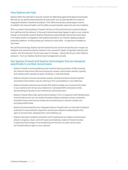## How Sophos can help

Sophos offers the ultimate IT security solution for defending against the latest ransomware. Not only do you get the best protection at every point, but you also benefit from years of integration between firewall and endpoint. This offers tremendous advantages in terms of visibility into network health, and the ability to automatically respond to security incidents.

With our award-winning Sophos Firewall, the focus is first and foremost to prevent attacks from getting onto the network. In the event ransomware does happen to get on your network, though, you're doubly covered. Sophos Firewall can automatically stop ransomware dead in its tracks thanks to integration with Sophos Intercept X, our industry-leading endpoint protection platform. It's like putting your network on auto-pilot – a huge force multiplier to your team.

We call this technology Sophos Synchronized Security. Synchronized Security merges our endpoint and network protection features into a powerful, deeply-integrated cybersecurity system. And the best part: it's all super easy to manage – along with all your other Sophos products - from our Sophos Central cloud management console.

## Key Sophos Firewall and Sophos technologies that are designed specifically to combat ransomware

- $\rightarrow$  Sophos Firewall's cloud sandboxing and machine learning analysis of files entering the network help ensure that even previously unseen ransomware variants, exploits, and malware don't spread via spam, phishing, or web downloads.
- $\rightarrow$  Sophos Firewall's intrusion prevention system catches the latest network exploits and attacks that hackers may be utilizing to find vulnerabilities in your defenses.
- ▶ Sophos Firewall's extensive but simple VPN options enable you to close all the holes in your network and remove your reliance on vulnerable RDP connections while still providing full access to your network by authorized users.
- ▶ Sophos Firewall offers high-performance Xstream TLS 1.3 inspection with flexible policy controls that ensure you can strike the perfect balance between privacy, protection and performance and ensure threats are not entering your network unseen over encrypted traffic flows.
- ▶ Sophos Synchronized Security integrates Sophos Firewall with our Intercept X endpoint protection to automatically respond to ransomware attacks by detecting the first signs of compromise, stopping them, and notifying you.
- ▶ Sophos Intercept X endpoint protection with CryptoGuard can detect a ransomware attack in progress, stop it, and roll it back automatically. Sophos Firewall includes CryptoGuard technology in the sandboxing environment to catch ransomware red-handed before it gets on your network.